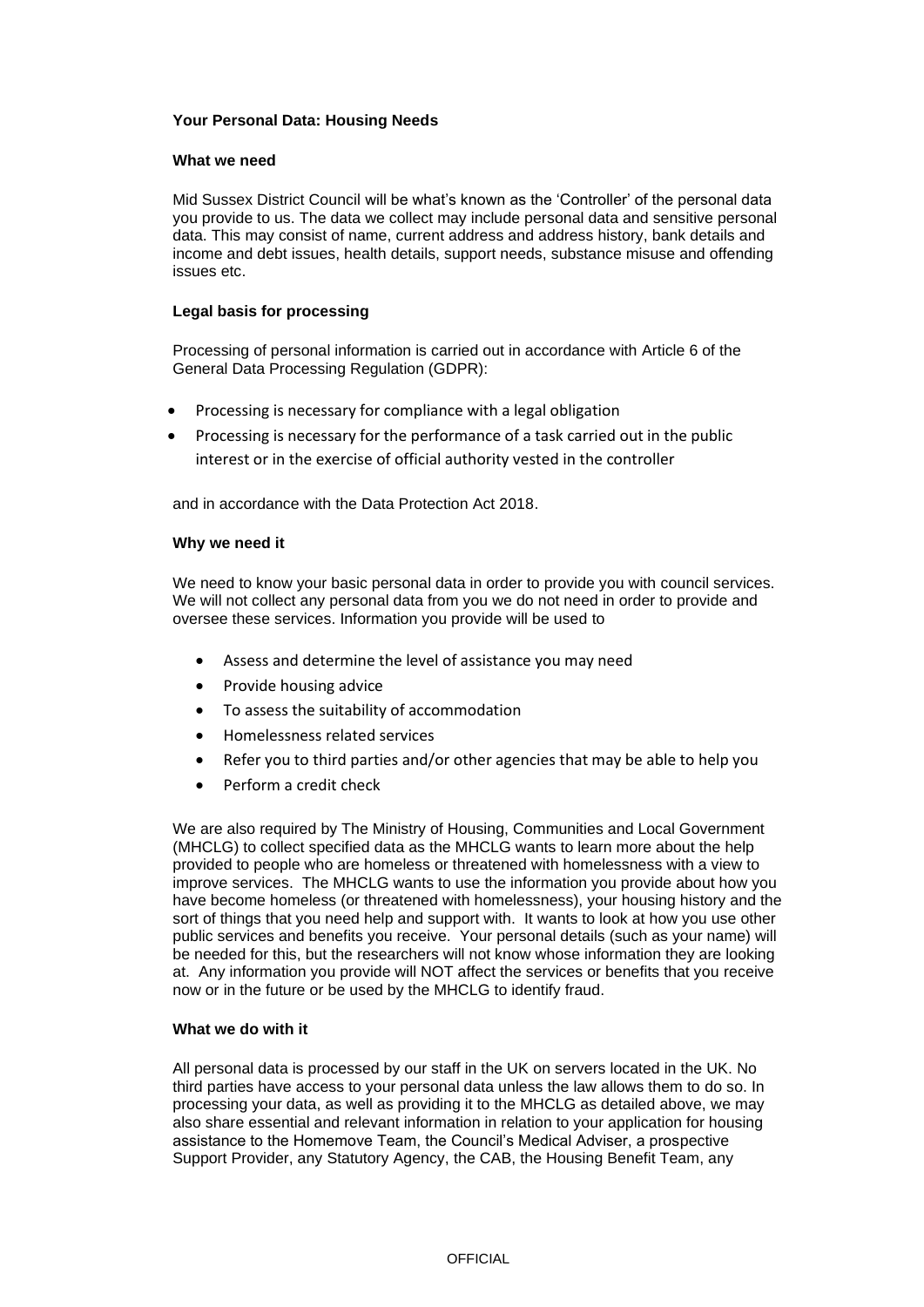# **Your Personal Data: Housing Needs**

### **What we need**

Mid Sussex District Council will be what's known as the 'Controller' of the personal data you provide to us. The data we collect may include personal data and sensitive personal data. This may consist of name, current address and address history, bank details and income and debt issues, health details, support needs, substance misuse and offending issues etc.

### **Legal basis for processing**

Processing of personal information is carried out in accordance with Article 6 of the General Data Processing Regulation (GDPR):

- Processing is necessary for compliance with a legal obligation
- Processing is necessary for the performance of a task carried out in the public interest or in the exercise of official authority vested in the controller

and in accordance with the Data Protection Act 2018.

### **Why we need it**

We need to know your basic personal data in order to provide you with council services. We will not collect any personal data from you we do not need in order to provide and oversee these services. Information you provide will be used to

- Assess and determine the level of assistance you may need
- Provide housing advice
- To assess the suitability of accommodation
- Homelessness related services
- Refer you to third parties and/or other agencies that may be able to help you
- Perform a credit check

We are also required by The Ministry of Housing, Communities and Local Government (MHCLG) to collect specified data as the MHCLG wants to learn more about the help provided to people who are homeless or threatened with homelessness with a view to improve services. The MHCLG wants to use the information you provide about how you have become homeless (or threatened with homelessness), your housing history and the sort of things that you need help and support with. It wants to look at how you use other public services and benefits you receive. Your personal details (such as your name) will be needed for this, but the researchers will not know whose information they are looking at. Any information you provide will NOT affect the services or benefits that you receive now or in the future or be used by the MHCLG to identify fraud.

# **What we do with it**

All personal data is processed by our staff in the UK on servers located in the UK. No third parties have access to your personal data unless the law allows them to do so. In processing your data, as well as providing it to the MHCLG as detailed above, we may also share essential and relevant information in relation to your application for housing assistance to the Homemove Team, the Council's Medical Adviser, a prospective Support Provider, any Statutory Agency, the CAB, the Housing Benefit Team, any